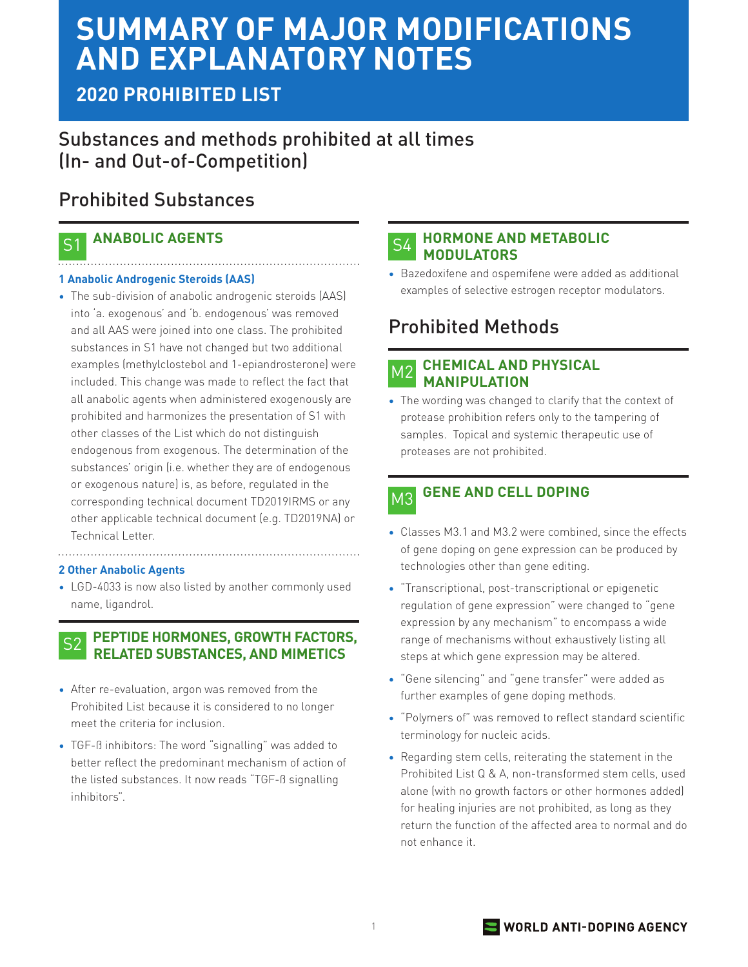# **SUMMARY OF MAJOR MODIFICATIONS AND EXPLANATORY NOTES**

# **2020 PROHIBITED LIST**

# Substances and methods prohibited at all times (In- and Out-of-Competition)

# Prohibited Substances

#### **ANABOLIC AGENTS** S1

## **1 Anabolic Androgenic Steroids (AAS)**

• The sub-division of anabolic androgenic steroids (AAS) into 'a. exogenous' and 'b. endogenous' was removed and all AAS were joined into one class. The prohibited substances in S1 have not changed but two additional examples (methylclostebol and 1-epiandrosterone) were included. This change was made to reflect the fact that all anabolic agents when administered exogenously are prohibited and harmonizes the presentation of S1 with other classes of the List which do not distinguish endogenous from exogenous. The determination of the substances' origin (i.e. whether they are of endogenous or exogenous nature) is, as before, regulated in the corresponding technical document TD2019IRMS or any other applicable technical document (e.g. TD2019NA) or Technical Letter.

### **2 Other Anabolic Agents**

• LGD-4033 is now also listed by another commonly used name, ligandrol.

### **PEPTIDE HORMONES, GROWTH FACTORS, RELATED SUBSTANCES, AND MIMETICS** S2

- After re-evaluation, argon was removed from the Prohibited List because it is considered to no longer meet the criteria for inclusion.
- TGF-ß inhibitors: The word "signalling" was added to better reflect the predominant mechanism of action of the listed substances. It now reads "TGF-ß signalling inhibitors".

#### **HORMONE AND METABOLIC MODULATORS** S4

• Bazedoxifene and ospemifene were added as additional examples of selective estrogen receptor modulators.

# Prohibited Methods

#### **CHEMICAL AND PHYSICAL MANIPULATION** M2

• The wording was changed to clarify that the context of protease prohibition refers only to the tampering of samples. Topical and systemic therapeutic use of proteases are not prohibited.

### **GENE AND CELL DOPING** M3

- Classes M3.1 and M3.2 were combined, since the effects of gene doping on gene expression can be produced by technologies other than gene editing.
- "Transcriptional, post-transcriptional or epigenetic regulation of gene expression" were changed to "gene expression by any mechanism" to encompass a wide range of mechanisms without exhaustively listing all steps at which gene expression may be altered.
- "Gene silencing" and "gene transfer" were added as further examples of gene doping methods.
- "Polymers of" was removed to reflect standard scientific terminology for nucleic acids.
- Regarding stem cells, reiterating the statement in the Prohibited List Q & A, non-transformed stem cells, used alone (with no growth factors or other hormones added) for healing injuries are not prohibited, as long as they return the function of the affected area to normal and do not enhance it.